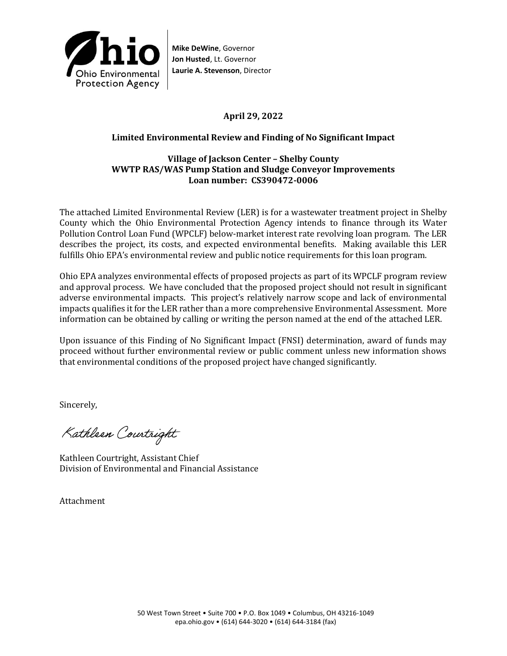

**Mike DeWine**, Governor **Jon Husted**, Lt. Governor **Laurie A. Stevenson**, Director

# **April 29, 2022**

## **Limited Environmental Review and Finding of No Significant Impact**

### **Village of Jackson Center – Shelby County WWTP RAS/WAS Pump Station and Sludge Conveyor Improvements Loan number: CS390472-0006**

The attached Limited Environmental Review (LER) is for a wastewater treatment project in Shelby County which the Ohio Environmental Protection Agency intends to finance through its Water Pollution Control Loan Fund (WPCLF) below-market interest rate revolving loan program. The LER describes the project, its costs, and expected environmental benefits. Making available this LER fulfills Ohio EPA's environmental review and public notice requirements for this loan program.

Ohio EPA analyzes environmental effects of proposed projects as part of its WPCLF program review and approval process. We have concluded that the proposed project should not result in significant adverse environmental impacts. This project's relatively narrow scope and lack of environmental impacts qualifies it for the LER rather than a more comprehensive Environmental Assessment. More information can be obtained by calling or writing the person named at the end of the attached LER.

Upon issuance of this Finding of No Significant Impact (FNSI) determination, award of funds may proceed without further environmental review or public comment unless new information shows that environmental conditions of the proposed project have changed significantly.

Sincerely,

Kathleen Courtright

Kathleen Courtright, Assistant Chief Division of Environmental and Financial Assistance

Attachment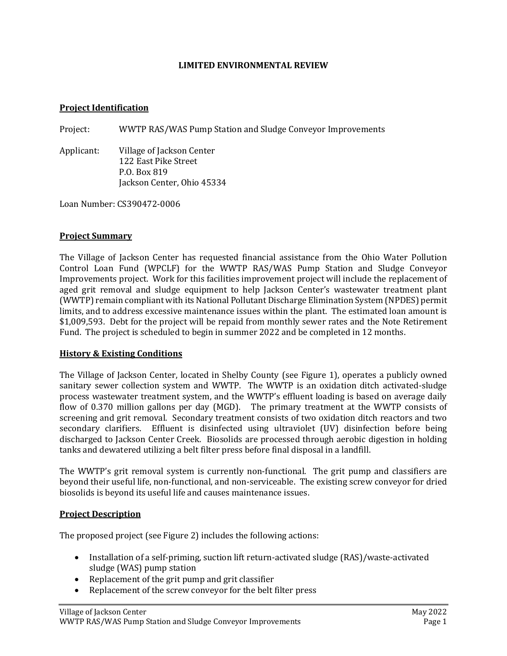#### **LIMITED ENVIRONMENTAL REVIEW**

#### **Project Identification**

Project: WWTP RAS/WAS Pump Station and Sludge Conveyor Improvements

Applicant: Village of Jackson Center 122 East Pike Street P.O. Box 819 Jackson Center, Ohio 45334

Loan Number: CS390472-0006

#### **Project Summary**

The Village of Jackson Center has requested financial assistance from the Ohio Water Pollution Control Loan Fund (WPCLF) for the WWTP RAS/WAS Pump Station and Sludge Conveyor Improvements project. Work for this facilities improvement project will include the replacement of aged grit removal and sludge equipment to help Jackson Center's wastewater treatment plant (WWTP) remain compliant with its National Pollutant Discharge Elimination System (NPDES) permit limits, and to address excessive maintenance issues within the plant. The estimated loan amount is \$1,009,593. Debt for the project will be repaid from monthly sewer rates and the Note Retirement Fund. The project is scheduled to begin in summer 2022 and be completed in 12 months.

### **History & Existing Conditions**

The Village of Jackson Center, located in Shelby County (see Figure 1), operates a publicly owned sanitary sewer collection system and WWTP. The WWTP is an oxidation ditch activated-sludge process wastewater treatment system, and the WWTP's effluent loading is based on average daily flow of 0.370 million gallons per day (MGD). The primary treatment at the WWTP consists of screening and grit removal. Secondary treatment consists of two oxidation ditch reactors and two secondary clarifiers. Effluent is disinfected using ultraviolet (UV) disinfection before being discharged to Jackson Center Creek. Biosolids are processed through aerobic digestion in holding tanks and dewatered utilizing a belt filter press before final disposal in a landfill.

The WWTP's grit removal system is currently non-functional. The grit pump and classifiers are beyond their useful life, non-functional, and non-serviceable. The existing screw conveyor for dried biosolids is beyond its useful life and causes maintenance issues.

### **Project Description**

The proposed project (see Figure 2) includes the following actions:

- Installation of a self-priming, suction lift return-activated sludge (RAS)/waste-activated sludge (WAS) pump station
- Replacement of the grit pump and grit classifier
- Replacement of the screw conveyor for the belt filter press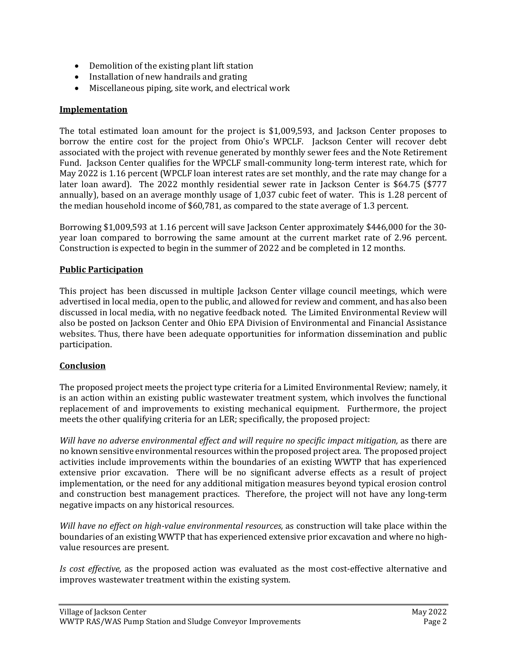- Demolition of the existing plant lift station
- Installation of new handrails and grating
- Miscellaneous piping, site work, and electrical work

## **Implementation**

The total estimated loan amount for the project is \$1,009,593, and Jackson Center proposes to borrow the entire cost for the project from Ohio's WPCLF. Jackson Center will recover debt associated with the project with revenue generated by monthly sewer fees and the Note Retirement Fund. Jackson Center qualifies for the WPCLF small-community long-term interest rate, which for May 2022 is 1.16 percent (WPCLF loan interest rates are set monthly, and the rate may change for a later loan award). The 2022 monthly residential sewer rate in Jackson Center is \$64.75 (\$777 annually), based on an average monthly usage of 1,037 cubic feet of water. This is 1.28 percent of the median household income of \$60,781, as compared to the state average of 1.3 percent.

Borrowing \$1,009,593 at 1.16 percent will save Jackson Center approximately \$446,000 for the 30 year loan compared to borrowing the same amount at the current market rate of 2.96 percent. Construction is expected to begin in the summer of 2022 and be completed in 12 months.

### **Public Participation**

This project has been discussed in multiple Jackson Center village council meetings, which were advertised in local media, open to the public, and allowed for review and comment, and has also been discussed in local media, with no negative feedback noted. The Limited Environmental Review will also be posted on Jackson Center and Ohio EPA Division of Environmental and Financial Assistance websites. Thus, there have been adequate opportunities for information dissemination and public participation.

# **Conclusion**

The proposed project meets the project type criteria for a Limited Environmental Review; namely, it is an action within an existing public wastewater treatment system, which involves the functional replacement of and improvements to existing mechanical equipment. Furthermore, the project meets the other qualifying criteria for an LER; specifically, the proposed project:

*Will have no adverse environmental effect and will require no specific impact mitigation,* as there are no known sensitive environmental resources within the proposed project area. The proposed project activities include improvements within the boundaries of an existing WWTP that has experienced extensive prior excavation. There will be no significant adverse effects as a result of project implementation, or the need for any additional mitigation measures beyond typical erosion control and construction best management practices. Therefore, the project will not have any long-term negative impacts on any historical resources.

*Will have no effect on high-value environmental resources,* as construction will take place within the boundaries of an existing WWTP that has experienced extensive prior excavation and where no highvalue resources are present.

*Is cost effective,* as the proposed action was evaluated as the most cost-effective alternative and improves wastewater treatment within the existing system.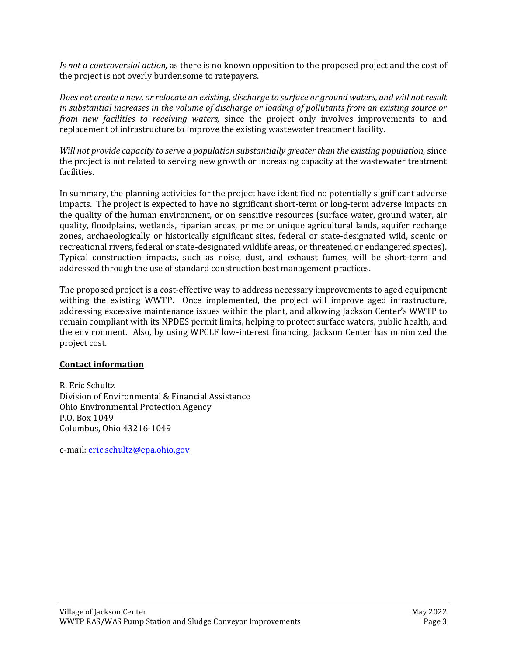*Is not a controversial action,* as there is no known opposition to the proposed project and the cost of the project is not overly burdensome to ratepayers.

*Does not create a new, or relocate an existing, discharge to surface or ground waters, and will not result in substantial increases in the volume of discharge or loading of pollutants from an existing source or from new facilities to receiving waters,* since the project only involves improvements to and replacement of infrastructure to improve the existing wastewater treatment facility.

*Will not provide capacity to serve a population substantially greater than the existing population,* since the project is not related to serving new growth or increasing capacity at the wastewater treatment facilities.

In summary, the planning activities for the project have identified no potentially significant adverse impacts. The project is expected to have no significant short-term or long-term adverse impacts on the quality of the human environment, or on sensitive resources (surface water, ground water, air quality, floodplains, wetlands, riparian areas, prime or unique agricultural lands, aquifer recharge zones, archaeologically or historically significant sites, federal or state-designated wild, scenic or recreational rivers, federal or state-designated wildlife areas, or threatened or endangered species). Typical construction impacts, such as noise, dust, and exhaust fumes, will be short-term and addressed through the use of standard construction best management practices.

The proposed project is a cost-effective way to address necessary improvements to aged equipment withing the existing WWTP. Once implemented, the project will improve aged infrastructure, addressing excessive maintenance issues within the plant, and allowing Jackson Center's WWTP to remain compliant with its NPDES permit limits, helping to protect surface waters, public health, and the environment. Also, by using WPCLF low-interest financing, Jackson Center has minimized the project cost.

# **Contact information**

R. Eric Schultz Division of Environmental & Financial Assistance Ohio Environmental Protection Agency P.O. Box 1049 Columbus, Ohio 43216-1049

e-mail: [eric.schultz@epa.ohio.gov](mailto:eric.schultz@epa.ohio.gov)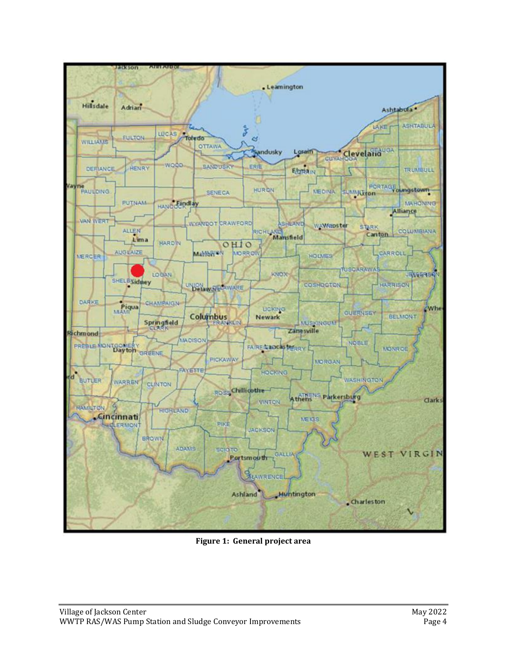

**Figure 1: General project area**